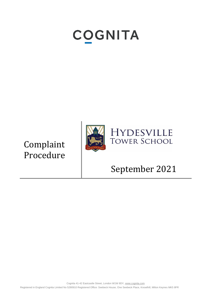# **COGNITA**

Complaint Procedure



## September 2021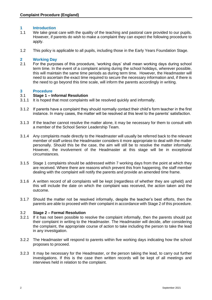### **1 Introduction**

- 1.1 We take great care with the quality of the teaching and pastoral care provided to our pupils. However, if parents do wish to make a complaint they can expect the following procedure to apply.
- 1.2 This policy is applicable to all pupils, including those in the Early Years Foundation Stage.

### **2 Working Day**

2.1 For the purposes of this procedure, 'working days' shall mean working days during school term time. In the event of a complaint arising during the school holidays, wherever possible, this will maintain the same time periods as during term time. However, the Headmaster will need to ascertain the exact time required to secure the necessary information and, if there is the need to go beyond this time scale, will inform the parents accordingly in writing.

### **3 Procedure**

### 3.1 **Stage 1 – Informal Resolution**

- 3.1.1 It is hoped that most complaints will be resolved quickly and informally.
- 3.1.2 If parents have a complaint they should normally contact their child's form teacher in the first instance. In many cases, the matter will be resolved at this level to the parents' satisfaction.
- 3.1.3 If the teacher cannot resolve the matter alone, it may be necessary for them to consult with a member of the School Senior Leadership Team.
- 3.1.4 Any complaints made directly to the Headmaster will usually be referred back to the relevant member of staff unless the Headmaster considers it more appropriate to deal with the matter personally. Should this be the case, the aim will still be to resolve the matter informally. However, the involvement of the Headmaster at this stage will be in exceptional circumstances.
- 3.1.5 Stage 1 complaints should be addressed within 7 working days from the point at which they are received. Where there are reasons which prevent this from happening, the staff member dealing with the complaint will notify the parents and provide an amended time frame.
- 3.1.6 A written record of all complaints will be kept (regardless of whether they are upheld) and this will include the date on which the complaint was received, the action taken and the outcome.
- 3.1.7 Should the matter not be resolved informally, despite the teacher's best efforts, then the parents are able to proceed with their complaint in accordance with Stage 2 of this procedure.

### 3.2 **Stage 2 – Formal Resolution**

- 3.2.1 If it has not been possible to resolve the complaint informally, then the parents should put their complaint in writing to the Headmaster. The Headmaster will decide, after considering the complaint, the appropriate course of action to take including the person to take the lead in any investigation.
- 3.2.2 The Headmaster will respond to parents within five working days indicating how the school proposes to proceed.
- 3.2.3 It may be necessary for the Headmaster, or the person taking the lead, to carry out further investigations. If this is the case then written records will be kept of all meetings and interviews held in relation to the complaint.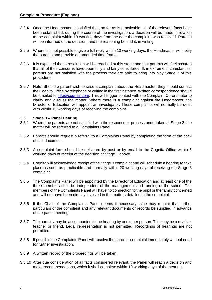- 3.2.4 Once the Headmaster is satisfied that, so far as is practicable, all of the relevant facts have been established, during the course of the investigation, a decision will be made in relation to the complaint within 10 working days from the date the complaint was received. Parents will be informed of the decision, and the reasoning behind it, in writing.
- 3.2.5 Where it is not possible to give a full reply within 10 working days, the Headmaster will notify the parents and provide an amended time frame.
- 3.2.6 It is expected that a resolution will be reached at this stage and that parents will feel assured that all of their concerns have been fully and fairly considered. If, in extreme circumstances, parents are not satisfied with the process they are able to bring into play Stage 3 of this procedure.
- 3.2.7 Note: Should a parent wish to raise a complaint about the Headmaster, they should contact the Cognita Office by telephone or writing in the first instance. Written correspondence should be emailed to [info@cognita.com.](mailto:info@cognita.com) This will trigger contact with the Complaint Co-ordinator to clarify and discuss the matter. Where there is a complaint against the Headmaster, the Director of Education will appoint an investigator. These complaints will normally be dealt with within 15 working days of receiving the complaint.

### 3.3 **Stage 3 – Panel Hearing**

- 3.3.1 Where the parents are not satisfied with the response or process undertaken at Stage 2, the matter will be referred to a Complaints Panel.
- 3.3.2 Parents should request a referral to a Complaints Panel by completing the form at the back of this document.
- 3.3.3 A complaint form should be delivered by post or by email to the Cognita Office within 5 working days of receipt of the decision at Stage 2 above.
- 3.3.4 Cognita will acknowledge receipt of the Stage 3 complaint and will schedule a hearing to take place as soon as practicable and normally within 20 working days of receiving the Stage 3 complaint.
- 3.3.5 The Complaints Panel will be appointed by the Director of Education and at least one of the three members shall be independent of the management and running of the school. The members of the Complaints Panel will have no connection to the pupil or the family concerned and will not have been directly involved in the matters detailed in the complaint.
- 3.3.6 If the Chair of the Complaints Panel deems it necessary, s/he may require that further particulars of the complaint and any relevant documents or records be supplied in advance of the panel meeting.
- 3.3.7 The parents may be accompanied to the hearing by one other person. This may be a relative, teacher or friend. Legal representation is not permitted. Recordings of hearings are not permitted.
- 3.3.8 If possible the Complaints Panel will resolve the parents' complaint immediately without need for further investigation.
- 3.3.9 A written record of the proceedings will be taken.
- 3.3.10 After due consideration of all facts considered relevant, the Panel will reach a decision and make recommendations, which it shall complete within 10 working days of the hearing.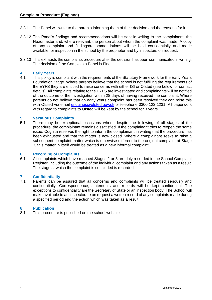- 3.3.11 The Panel will write to the parents informing them of their decision and the reasons for it.
- 3.3.12 The Panel's findings and recommendations will be sent in writing to the complainant, the Headmaster and, where relevant, the person about whom the complaint was made. A copy of any complaint and findings/recommendations will be held confidentially and made available for inspection in the school by the proprietor and by inspectors on request.
- 3.3.13 This exhausts the complaints procedure after the decision has been communicated in writing. The decision of the Complaints Panel is Final.

### **4 Early Years**

This policy is compliant with the requirements of the Statutory Framework for the Early Years Foundation Stage. Where parents believe that the school is not fulfilling the requirements of the EYFS they are entitled to raise concerns with either ISI or Ofsted (see below for contact details). All complaints relating to the EYFS are investigated and complainants will be notified of the outcome of the investigation within 28 days of having received the complaint. Where parents do not believe that an early years complaint has been resolved they can raise this with Ofsted via email [enquiries@ofsted.gov.uk](mailto:enquiries@ofsted.gov.uk) or telephone 0300 123 1231. All paperwork with regard to complaints to Ofsted will be kept by the school for 3 years.

### **5 Vexatious Complaints**

5.1 There may be exceptional occasions when, despite the following of all stages of the procedure, the complainant remains dissatisfied. If the complainant tries to reopen the same issue, Cognita reserves the right to inform the complainant in writing that the procedure has been exhausted and that the matter is now closed. Where a complainant seeks to raise a subsequent complaint matter which is otherwise different to the original complaint at Stage 3, this matter in itself would be treated as a new informal complaint.

### **6 Recording of Complaints**

All complaints which have reached Stages 2 or 3 are duly recorded in the School Complaint Register, including the outcome of the individual complaint and any actions taken as a result. The stage at which the complaint is concluded is recorded.

#### **7 Confidentiality**

7.1 Parents can be assured that all concerns and complaints will be treated seriously and confidentially. Correspondence, statements and records will be kept confidential. The exceptions to confidentiality are the Secretary of State or an inspection body. The School will make available to an inspectorate on request a written record of any complaints made during a specified period and the action which was taken as a result.

### **8 Publication**

8.1 This procedure is published on the school website.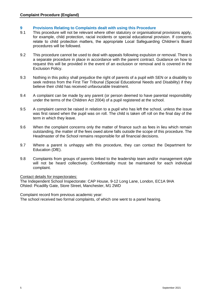### **9 Provisions Relating to Complaints dealt with using this Procedure**

- 9.1 This procedure will not be relevant where other statutory or organisational provisions apply, for example, child protection, racial incidents or special educational provision. If concerns relate to child protection matters, the appropriate Local Safeguarding Children's Board procedures will be followed.
- 9.2 This procedure cannot be used to deal with appeals following expulsion or removal. There is a separate procedure in place in accordance with the parent contract. Guidance on how to request this will be provided in the event of an exclusion or removal and is covered in the Exclusion Policy.
- 9.3 Nothing in this policy shall prejudice the right of parents of a pupil with SEN or a disability to seek redress from the First Tier Tribunal (Special Educational Needs and Disability) if they believe their child has received unfavourable treatment.
- 9.4 A complaint can be made by any parent (or person deemed to have parental responsibility under the terms of the Children Act 2004) of a pupil registered at the school.
- 9.5 A complaint cannot be raised in relation to a pupil who has left the school, unless the issue was first raised when the pupil was on roll. The child is taken off roll on the final day of the term in which they leave.
- 9.6 When the complaint concerns only the matter of finance such as fees in lieu which remain outstanding, the matter of the fees owed alone falls outside the scope of this procedure. The Headmaster of the School remains responsible for all financial decisions.
- 9.7 Where a parent is unhappy with this procedure, they can contact the Department for Education (DfE).
- 9.8 Complaints from groups of parents linked to the leadership team and/or management style will not be heard collectively. Confidentiality must be maintained for each individual complaint.

#### Contact details for inspectorates:

The Independent School Inspectorate: CAP House, 9-12 Long Lane, London, EC1A 9HA Ofsted: Picadilly Gate, Store Street, Manchester, M1 2WD

Complaint record from previous academic year:

The school received two formal complaints, of which one went to a panel hearing.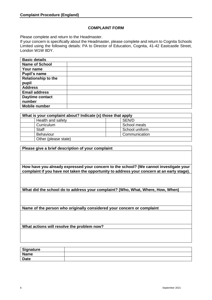### **COMPLAINT FORM**

Please complete and return to the Headmaster.

If your concern is specifically about the Headmaster, please complete and return to Cognita Schools Limited using the following details: PA to Director of Education, Cognita, 41-42 Eastcastle Street, London W1W 8DY.

| <b>Basic details</b>       |  |
|----------------------------|--|
| <b>Name of School</b>      |  |
| Your name                  |  |
| Pupil's name               |  |
| <b>Relationship to the</b> |  |
| pupil                      |  |
| <b>Address</b>             |  |
| <b>Email address</b>       |  |
| Daytime contact            |  |
| number                     |  |
| <b>Mobile number</b>       |  |

| What is your complaint about? Indicate (x) those that apply |                |
|-------------------------------------------------------------|----------------|
| Health and safety                                           | SEN/D          |
| Curriculum                                                  | School meals   |
| <b>Staff</b>                                                | School uniform |
| Behaviour                                                   | Communication  |
| Other (please state)                                        |                |

**Please give a brief description of your complaint**

**How have you already expressed your concern to the school? (We cannot investigate your complaint if you have not taken the opportunity to address your concern at an early stage).**

**What did the school do to address your complaint? (Who, What, Where, How, When)**

**Name of the person who originally considered your concern or complaint**

**What actions will resolve the problem now?**

| Signature   |  |
|-------------|--|
| <b>Name</b> |  |
| <b>Date</b> |  |